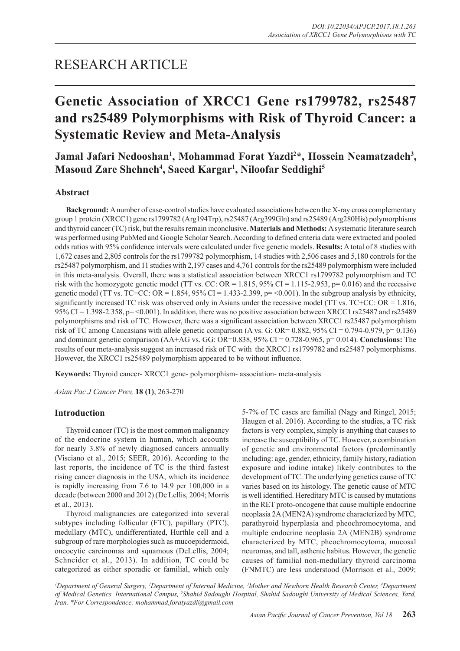# RESEARCH ARTICLE

# **Genetic Association of XRCC1 Gene rs1799782, rs25487 and rs25489 Polymorphisms with Risk of Thyroid Cancer: a Systematic Review and Meta-Analysis**

Jamal Jafari Nedooshan<sup>1</sup>, Mohammad Forat Yazdi<sup>2\*</sup>, Hossein Neamatzadeh<sup>3</sup>, **Masoud Zare Shehneh4 , Saeed Kargar1 , Niloofar Seddighi5**

# **Abstract**

**Background:** A number of case-control studies have evaluated associations between the X-ray cross complementary group 1 protein (XRCC1) gene rs1799782 (Arg194Trp), rs25487 (Arg399Gln) and rs25489 (Arg280His) polymorphisms and thyroid cancer (TC) risk, but the results remain inconclusive. **Materials and Methods:** A systematic literature search was performed using PubMed and Google Scholar Search. According to defined criteria data were extracted and pooled odds ratios with 95% confidence intervals were calculated under five genetic models. **Results:** A total of 8 studies with 1,672 cases and 2,805 controls for the rs1799782 polymorphism, 14 studies with 2,506 cases and 5,180 controls for the rs25487 polymorphism, and 11 studies with 2,197 cases and 4,761 controls for the rs25489 polymorphism were included in this meta-analysis. Overall, there was a statistical association between XRCC1 rs1799782 polymorphism and TC risk with the homozygote genetic model (TT vs. CC:  $OR = 1.815$ , 95% CI = 1.115-2.953, p= 0.016) and the recessive genetic model (TT vs. TC+CC: OR = 1.854, 95% CI = 1.433-2.399,  $p = 0.001$ ). In the subgroup analysis by ethnicity, significantly increased TC risk was observed only in Asians under the recessive model (TT vs. TC+CC: OR = 1.816,  $95\%$  CI = 1.398-2.358, p= <0.001). In addition, there was no positive association between XRCC1 rs25487 and rs25489 polymorphisms and risk of TC. However, there was a significant association between XRCC1 rs25487 polymorphism risk of TC among Caucasians with allele genetic comparison (A vs. G: OR= 0.882, 95% CI = 0.794-0.979, p= 0.136) and dominant genetic comparison (AA+AG vs. GG: OR=0.838, 95% CI = 0.728-0.965, p= 0.014). **Conclusions:** The results of our meta-analysis suggest an increased risk of TC with the XRCC1 rs1799782 and rs25487 polymorphisms. However, the XRCC1 rs25489 polymorphism appeared to be without influence.

**Keywords:** Thyroid cancer- XRCC1 gene- polymorphism- association- meta-analysis

*Asian Pac J Cancer Prev,* **18 (1)**, 263-270

# **Introduction**

Thyroid cancer (TC) is the most common malignancy of the endocrine system in human, which accounts for nearly 3.8% of newly diagnosed cancers annually (Visciano et al., 2015; SEER, 2016). According to the last reports, the incidence of TC is the third fastest rising cancer diagnosis in the USA, which its incidence is rapidly increasing from 7.6 to 14.9 per 100,000 in a decade (between 2000 and 2012) (De Lellis, 2004; Morris et al., 2013).

Thyroid malignancies are categorized into several subtypes including follicular (FTC), papillary (PTC), medullary (MTC), undifferentiated, Hurthle cell and a subgroup of rare morphologies such as mucoepidermoid, oncocytic carcinomas and squamous (DeLellis, 2004; Schneider et al., 2013). In addition, TC could be categorized as either sporadic or familial, which only

5-7% of TC cases are familial (Nagy and Ringel, 2015; Haugen et al. 2016). According to the studies, a TC risk factors is very complex, simply is anything that causes to increase the susceptibility of TC. However, a combination of genetic and environmental factors (predominantly including: age, gender, ethnicity, family history, radiation exposure and iodine intake) likely contributes to the development of TC. The underlying genetics cause of TC varies based on its histology. The genetic cause of MTC is well identified. Hereditary MTC is caused by mutations in the RET proto-oncogene that cause multiple endocrine neoplasia 2A (MEN2A) syndrome characterized by MTC, parathyroid hyperplasia and pheochromocytoma, and multiple endocrine neoplasia 2A (MEN2B) syndrome characterized by MTC, pheochromocytoma, mucosal neuromas, and tall, asthenic habitus. However, the genetic causes of familial non-medullary thyroid carcinoma (FNMTC) are less understood (Morrison et al., 2009;

*1 Department of General Surgery, 2 Department of Internal Medicine, 3 Mother and Newborn Health Research Center, 4 Department of Medical Genetics, International Campus, 5 Shahid Sadoughi Hospital, Shahid Sadoughi University of Medical Sciences, Yazd, Iran. \*For Correspondence: mohammad.foratyazdi@gmail.com*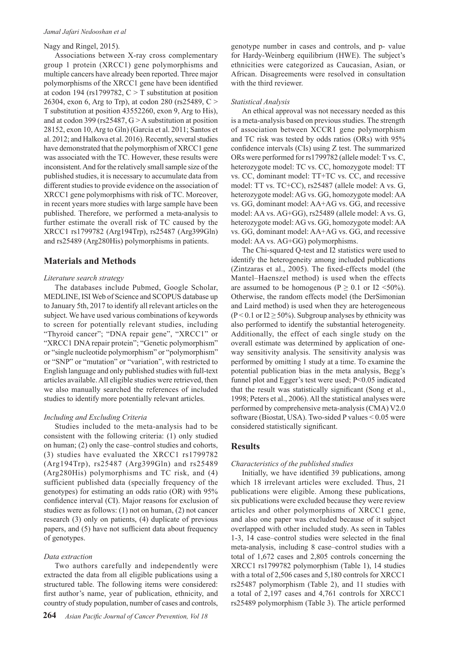#### *Jamal Jafari Nedooshan et al*

# Nagy and Ringel, 2015).

Associations between X-ray cross complementary group 1 protein (XRCC1) gene polymorphisms and multiple cancers have already been reported. Three major polymorphisms of the XRCC1 gene have been identified at codon 194 (rs1799782,  $C > T$  substitution at position 26304, exon 6, Arg to Trp), at codon 280 (rs25489, C > T substitution at position 43552260, exon 9, Arg to His), and at codon 399 (rs25487, G > A substitution at position 28152, exon 10, Arg to Gln) (Garcia et al. 2011; Santos et al. 2012; and Halkova et al. 2016). Recently, several studies have demonstrated that the polymorphism of XRCC1 gene was associated with the TC. However, these results were inconsistent. And for the relatively small sample size of the published studies, it is necessary to accumulate data from different studies to provide evidence on the association of XRCC1 gene polymorphisms with risk of TC. Moreover, in recent years more studies with large sample have been published. Therefore, we performed a meta-analysis to further estimate the overall risk of TC caused by the XRCC1 rs1799782 (Arg194Trp), rs25487 (Arg399Gln) and rs25489 (Arg280His) polymorphisms in patients.

## **Materials and Methods**

## *Literature search strategy*

The databases include Pubmed, Google Scholar, MEDLINE, ISI Web of Science and SCOPUS database up to January 5th, 2017 to identify all relevant articles on the subject. We have used various combinations of keywords to screen for potentially relevant studies, including "Thyroid cancer"; "DNA repair gene", "XRCC1" or "XRCC1 DNA repair protein"; "Genetic polymorphism" or "single nucleotide polymorphism" or "polymorphism" or "SNP" or "mutation" or "variation", with restricted to English language and only published studies with full-text articles available. All eligible studies were retrieved, then we also manually searched the references of included studies to identify more potentially relevant articles.

## *Including and Excluding Criteria*

Studies included to the meta-analysis had to be consistent with the following criteria: (1) only studied on human; (2) only the case–control studies and cohorts, (3) studies have evaluated the XRCC1 rs1799782 (Arg194Trp), rs25487 (Arg399Gln) and rs25489 (Arg280His) polymorphisms and TC risk, and (4) sufficient published data (specially frequency of the genotypes) for estimating an odds ratio (OR) with 95% confidence interval (CI). Major reasons for exclusion of studies were as follows: (1) not on human, (2) not cancer research (3) only on patients, (4) duplicate of previous papers, and (5) have not sufficient data about frequency of genotypes.

#### *Data extraction*

Two authors carefully and independently were extracted the data from all eligible publications using a structured table. The following items were considered: first author's name, year of publication, ethnicity, and country of study population, number of cases and controls,

genotype number in cases and controls, and p- value for Hardy-Weinberg equilibrium (HWE). The subject's ethnicities were categorized as Caucasian, Asian, or African. Disagreements were resolved in consultation with the third reviewer.

#### *Statistical Analysis*

An ethical approval was not necessary needed as this is a meta-analysis based on previous studies. The strength of association between XCCR1 gene polymorphism and TC risk was tested by odds ratios (ORs) with 95% confidence intervals (CIs) using Z test. The summarized ORs were performed for rs1799782 (allele model: T vs. C, heterozygote model: TC vs. CC, homozygote model: TT vs. CC, dominant model: TT+TC vs. CC, and recessive model: TT vs. TC+CC), rs25487 (allele model: A vs. G, heterozygote model: AG vs. GG, homozygote model: AA vs. GG, dominant model: AA+AG vs. GG, and recessive model: AA vs. AG+GG), rs25489 (allele model: A vs. G, heterozygote model: AG vs. GG, homozygote model: AA vs. GG, dominant model: AA+AG vs. GG, and recessive model: AA vs. AG+GG) polymorphisms.

The Chi-squared Q-test and I2 statistics were used to identify the heterogeneity among included publications (Zintzaras et al., 2005). The fixed-effects model (the Mantel–Haenszel method) is used when the effects are assumed to be homogenous ( $P \ge 0.1$  or  $I2 \le 50\%$ ). Otherwise, the random effects model (the DerSimonian and Laird method) is used when they are heterogeneous (P < 0.1 or  $I2 \ge 50\%$ ). Subgroup analyses by ethnicity was also performed to identify the substantial heterogeneity. Additionally, the effect of each single study on the overall estimate was determined by application of oneway sensitivity analysis. The sensitivity analysis was performed by omitting 1 study at a time. To examine the potential publication bias in the meta analysis, Begg's funnel plot and Egger's test were used; P<0.05 indicated that the result was statistically significant (Song et al., 1998; Peters et al., 2006). All the statistical analyses were performed by comprehensive meta-analysis (CMA) V2.0 software (Biostat, USA). Two-sided P values < 0.05 were considered statistically significant.

## **Results**

#### *Characteristics of the published studies*

Initially, we have identified 39 publications, among which 18 irrelevant articles were excluded. Thus, 21 publications were eligible. Among these publications, six publications were excluded because they were review articles and other polymorphisms of XRCC1 gene, and also one paper was excluded because of it subject overlapped with other included study. As seen in Tables 1-3, 14 case–control studies were selected in the final meta-analysis, including 8 case–control studies with a total of 1,672 cases and 2,805 controls concerning the XRCC1 rs1799782 polymorphism (Table 1), 14 studies with a total of 2,506 cases and 5,180 controls for XRCC1 rs25487 polymorphism (Table 2), and 11 studies with a total of 2,197 cases and 4,761 controls for XRCC1 rs25489 polymorphism (Table 3). The article performed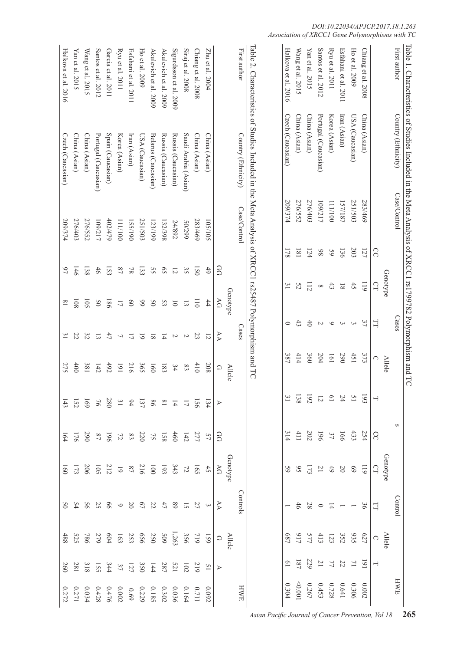|                        | Table 1. Characteristics of Studies Included in the Meta Analysis of XRCC1 rs1799782 Polymorphism and TC |              |                  |                             |                          |                           |                  |                           |                                               |                                                    |                             |                                                            |                   |                                                                          |
|------------------------|----------------------------------------------------------------------------------------------------------|--------------|------------------|-----------------------------|--------------------------|---------------------------|------------------|---------------------------|-----------------------------------------------|----------------------------------------------------|-----------------------------|------------------------------------------------------------|-------------------|--------------------------------------------------------------------------|
| First author           | Country (Ethnicity)                                                                                      | Case/Control |                  |                             | Cases                    |                           |                  |                           | S                                             |                                                    | Contro                      |                                                            |                   | HWE                                                                      |
|                        |                                                                                                          |              |                  | Genotype                    |                          |                           | <b>Allele</b>    |                           |                                               | Genotype                                           |                             | <b>Allele</b>                                              |                   |                                                                          |
|                        |                                                                                                          |              | ႙                | G                           | $\exists$                |                           | O                |                           | S                                             | G                                                  | 급                           | $\bigcirc$                                                 | J                 |                                                                          |
| Chiang et al. 2008     | China (Asian)                                                                                            | 283/469      | 121              | 119                         | 37                       |                           | 373              |                           |                                               | $\overline{611}$                                   | 36                          |                                                            |                   | 0.002                                                                    |
| Ho et al. 2009         | USA (Caucasian)                                                                                          | 251/503      | 203              | 42                          | 3                        |                           | 451              | 1952 24 02 12 12 13       | $\frac{254}{33}$ $\frac{43}{3}$ $\frac{5}{5}$ | 69                                                 |                             |                                                            |                   | 0.306                                                                    |
| Esfahani et al. 2011   | Iran (Asian)                                                                                             | 157/187      | 136              | $\overline{8}$ [            | $\mathbf \omega$         |                           | 290              |                           |                                               | 50                                                 |                             |                                                            |                   |                                                                          |
| Ryu et al. 2011        | Korea (Asian)                                                                                            | 111/100      | 59               | 43                          | $\circ$                  |                           | 191              |                           |                                               |                                                    | $\overline{4}$              |                                                            |                   | $\begin{array}{c} 0.641 \\ 0.728 \\ 0.453 \\ 0.267 \end{array}$          |
| Santos et al. 2012     | Portugal (Caucasian)                                                                                     | 109/217      | 86               | ${}^{\infty}$               | $\sim$                   |                           | 204              |                           |                                               | $\frac{4}{2}$ 21                                   | $\circ$                     |                                                            |                   |                                                                          |
| Yan et al. 2015        | China (Asian)                                                                                            | 276/403      | 124              | 112                         | $\ddot{\sigma}$          |                           | 360              |                           | $\frac{19}{202}$                              |                                                    | 8 <sup>z</sup>              |                                                            |                   |                                                                          |
| Wang et al. 2015       | China (Asian)                                                                                            | 276/552      | $\overline{181}$ | 52                          | $\ddot{3}$               |                           | 414              |                           |                                               | $173$                                              | $46\,$                      |                                                            |                   | (000)                                                                    |
| Halkova et al. 2016    | Czech (Caucasian)                                                                                        | 209/374      | 178              | $\tilde{5}$                 | $\circ$                  |                           | 387              |                           | 314                                           | 59                                                 |                             | 687                                                        | $\overline{6}$    | $0.304\,$                                                                |
|                        | Table 2. Characteristics of Studies Included in the Meta Analysis of YRCC1 rs25487 Polymorphism and TC   |              |                  |                             |                          |                           |                  |                           |                                               |                                                    |                             |                                                            |                   |                                                                          |
| First author           | Country (Ethnicity)                                                                                      | Case/Control |                  |                             |                          | Cases                     |                  |                           |                                               |                                                    | Controls                    |                                                            |                   | HWE                                                                      |
|                        |                                                                                                          |              |                  | Genotype                    |                          |                           | <b>Allele</b>    |                           |                                               | Genotype                                           |                             | <b>Allele</b>                                              |                   |                                                                          |
|                        |                                                                                                          |              |                  | B                           | ЭV                       | AA                        | $\bigcirc$       |                           | $\mathcal{S}$                                 | $\beta$                                            | $\triangleright$            | $\Omega$                                                   | ⋗                 |                                                                          |
| $Z$ hu et al. 2004     | China (Asian)                                                                                            | 105/105      |                  | 6 <sup>4</sup>              | $^{44}$                  | $\overline{5}$            | 208              | 134                       | 57                                            | $45\,$                                             | $\mathbf{\hat{z}}$          | 159                                                        | $\overline{51}$   | 0.092                                                                    |
| Chiang et al. 2008     | China (Asian)                                                                                            | 283/469      |                  | $\overline{150}$            | $\overline{011}$         | 23                        | 410              | 156                       |                                               | 591                                                | 27                          |                                                            | 219               |                                                                          |
| Siraj et al. 2008      | Saudi Arabia (Asian)                                                                                     | 66Z/0S       |                  | 35                          | $\Xi$                    | $\overline{c}$            | $\rm g3$         | $\overline{\mathcal{L}}$  | 277<br>142                                    |                                                    | $\overline{5}$              | 19<br>356<br>209<br>209<br>209<br>209<br>209<br>209<br>209 | 102               | $\begin{array}{c} 0.711 \\ 0.164 \end{array}$                            |
| Sigurdsson et al. 2009 | Russia (Caucasian)                                                                                       | 24/892       |                  | $\overline{5}$              | $\overline{0}$           | $\boldsymbol{\mathsf{c}}$ | 34               | $\overline{4}$            | 160                                           |                                                    | $68\,$                      |                                                            |                   | 0.036                                                                    |
| Akulevich et al. 2009  | Russia (Caucasian)                                                                                       | 132/398      |                  | $\mathcal{S}^{\mathcal{S}}$ | $53\,$                   | $\overline{4}$            | 183              | $\overline{8}$            | $158\phantom{11}$ 75 $\phantom{11}$           | $\begin{array}{c} 72 \\ 243 \\ 193 \\ \end{array}$ | $47\,$                      |                                                            | $\frac{521}{287}$ | 0.302                                                                    |
| Akulevich et al. 2009  | Belarus (Caucasian)                                                                                      | 123/199      |                  | SS                          | 50                       | $\overline{\bf 8}$        | $\overline{160}$ | 98                        |                                               |                                                    | 22                          |                                                            | 144               |                                                                          |
| Ho et al. 2009         | USA (Caucasian)                                                                                          | 251/503      |                  | 133                         | 66                       | $\overline{6}$            | 505              | 137                       |                                               |                                                    | $\mathcal{L}^{\mathcal{G}}$ |                                                            | 350               | $\begin{array}{c} 0.185 \\ 0.229 \\ 0.002 \\ 0.476 \\ 0.428 \end{array}$ |
| Esfahani et al. 2011   | Iran (Asian)                                                                                             | 155/190      |                  | $8\sqrt{ }$                 | $\boldsymbol{0}$         | $\overline{\mathcal{L}}$  | 216              | $94$                      |                                               |                                                    | $\Omega$                    |                                                            |                   |                                                                          |
| Ryu et al. 2011        | Korea (Asian)                                                                                            | 111/100      |                  | 2 <sub>1</sub>              | $\overline{\mathcal{L}}$ | $\overline{\phantom{0}}$  | 161              | $\mathfrak{Z}1$           |                                               | $\frac{216}{87}$                                   | $\circ$                     |                                                            | $\frac{127}{37}$  |                                                                          |
| Garcia et al. 2011     | Spain (Caucasian)                                                                                        | 402/479      |                  | 153                         | 981                      | 47                        | 492              | 280                       | $225$<br>$52$                                 | 212                                                | 99                          |                                                            | 344               |                                                                          |
| Santos et al. 2012     | Portugal (Caucasian)                                                                                     | 109/217      |                  | 46                          | 50                       | $\overline{3}$            | 142              | $\widetilde{\mathcal{C}}$ |                                               | 501                                                | 25                          | $604$<br>279                                               |                   |                                                                          |
| Wang et al. 2015       | China (Asian)                                                                                            | 276/552      |                  | 138                         | 105                      | 32                        | 189              | 691                       | 290                                           | 506                                                | 56                          | $186$<br>525                                               | 155               | 0.034                                                                    |
| Yan et al. 2015        | China (Asian)                                                                                            | 276/403      |                  | 146                         | 108                      | 22                        | 600              | 152                       | 176                                           | 173                                                | 54                          |                                                            | 281               | 0.271                                                                    |
| Halkova et al. 2016    | Czech (Caucasian)                                                                                        | 209/374      |                  | $\beta$                     | $\overline{\phantom{0}}$ | $\tilde{z}$               | 275              | $\overline{43}$           | 164                                           | $\overline{60}$                                    | $\frac{50}{2}$              | 488                                                        | 260               | 0.272                                                                    |
|                        |                                                                                                          |              |                  |                             |                          |                           |                  |                           |                                               |                                                    |                             |                                                            |                   |                                                                          |

# *DOI:10.22034/APJCP.2017.18.1.263 Association of XRCC1 Gene Polymorphisms with TC*

*Asian Pacific Journal of Cancer Prevention, Vol 18* **265**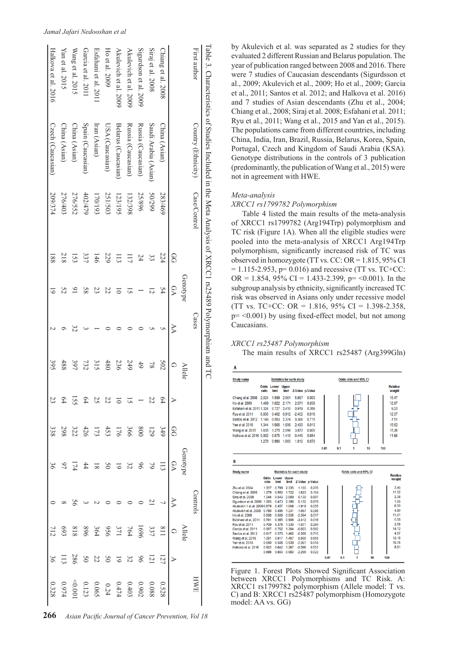| To $\approx$ 5. Characteristics of Studies Included in the Meta Analysis of XRCC1 rs25489 Polymorphism and TC |                      |              |                 |                |          |                |                                                                                                                                       |                                                                                                            |           |                                                                                                                                               |                                                                                                                                                |                                                                                                                                |                                                                                                                                         |
|---------------------------------------------------------------------------------------------------------------|----------------------|--------------|-----------------|----------------|----------|----------------|---------------------------------------------------------------------------------------------------------------------------------------|------------------------------------------------------------------------------------------------------------|-----------|-----------------------------------------------------------------------------------------------------------------------------------------------|------------------------------------------------------------------------------------------------------------------------------------------------|--------------------------------------------------------------------------------------------------------------------------------|-----------------------------------------------------------------------------------------------------------------------------------------|
| First author                                                                                                  | Country (Ethnicity)  | Case/Control |                 |                | Cases    |                |                                                                                                                                       |                                                                                                            |           | <b>Control</b>                                                                                                                                |                                                                                                                                                |                                                                                                                                | HWE                                                                                                                                     |
|                                                                                                               |                      |              |                 | Genotype       |          | <b>Allele</b>  |                                                                                                                                       |                                                                                                            | Jenotyp   |                                                                                                                                               | <b>Allek</b>                                                                                                                                   |                                                                                                                                |                                                                                                                                         |
|                                                                                                               |                      |              | SQ              | DA             | $\aleph$ | ♤              |                                                                                                                                       |                                                                                                            | <b>PD</b> |                                                                                                                                               |                                                                                                                                                |                                                                                                                                |                                                                                                                                         |
| Chiang et al. 2008                                                                                            | China (Asian)        | 283/469      | 224             | 54             |          | 502            | $\left  \begin{smallmatrix} 4 & 2 & 3 & - & 7 & 3 & 3 & 3 & 3 & 3 \\ 4 & 2 & 3 & - & 7 & 5 & 2 & 3 & 3 & 3 \end{smallmatrix} \right $ | $\frac{G(3)}{3}$ $\frac{13}{3}$ $\frac{13}{3}$ $\frac{13}{3}$ $\frac{13}{3}$ $\frac{13}{3}$ $\frac{13}{3}$ |           | $\frac{4}{6}$   $\frac{1}{2}$   $\frac{3}{2}$   $\frac{3}{2}$   $\frac{3}{2}$   $\frac{1}{2}$   $\frac{3}{2}$   $\frac{3}{2}$   $\frac{3}{2}$ | $\frac{1}{21}$ $\frac{33}{22}$ $\frac{33}{22}$ $\frac{33}{22}$ $\frac{33}{22}$ $\frac{33}{22}$ $\frac{33}{22}$ $\frac{33}{22}$ $\frac{33}{22}$ | $\frac{1}{2}$ $\frac{1}{2}$ $\frac{1}{2}$ $\frac{3}{2}$ $\frac{8}{3}$ $\frac{3}{5}$ $\frac{3}{5}$ $\frac{1}{3}$ $\frac{1}{12}$ |                                                                                                                                         |
| Siraj et al. 2008                                                                                             | Saudi Arabia (Asian) | 667/05       | ε               | 12             |          | $\overline{8}$ |                                                                                                                                       |                                                                                                            |           |                                                                                                                                               |                                                                                                                                                |                                                                                                                                |                                                                                                                                         |
| Sigurdson et al. 2009                                                                                         | Russia (Caucasian)   | 25/896       | 24              |                |          | 49             |                                                                                                                                       |                                                                                                            |           |                                                                                                                                               |                                                                                                                                                |                                                                                                                                |                                                                                                                                         |
| Akulevich et al. 2009                                                                                         | Russia (Caucasian)   | 132/398      | ΞI              | 5              |          | 249            |                                                                                                                                       |                                                                                                            |           |                                                                                                                                               |                                                                                                                                                |                                                                                                                                |                                                                                                                                         |
| Akulevich et al. 2009                                                                                         | Belarus (Caucasian)  | 123/195      | Ξ               |                |          | 236            |                                                                                                                                       |                                                                                                            |           |                                                                                                                                               |                                                                                                                                                |                                                                                                                                |                                                                                                                                         |
| Ho et al. 2009                                                                                                | USA (Caucasian)      | 251/503      | 229             | 22             |          | 480            |                                                                                                                                       |                                                                                                            |           |                                                                                                                                               |                                                                                                                                                |                                                                                                                                | $\begin{array}{r} 0.528 \\ 0.988 \\ 0.902 \\ 0.403 \\ 0.065 \\ 0.0001 \\ 0.0001 \\ 0.0001 \\ 0.0001 \\ 0.0328 \\ 0.0328 \\ \end{array}$ |
| Esfahani et al. 2011                                                                                          | Iran (Asian)         | 170/193      | 146             | 23             |          | 315            |                                                                                                                                       |                                                                                                            |           |                                                                                                                                               |                                                                                                                                                |                                                                                                                                |                                                                                                                                         |
| Garcia et al. 201                                                                                             | Spain (Caucasian)    | 402/479      | 337             | 85             |          | 732            |                                                                                                                                       |                                                                                                            |           |                                                                                                                                               |                                                                                                                                                |                                                                                                                                |                                                                                                                                         |
| Wang et al. 2015                                                                                              | China (Asian)        | 276/552      | 153             | $\overline{6}$ |          | 397            |                                                                                                                                       |                                                                                                            |           |                                                                                                                                               |                                                                                                                                                |                                                                                                                                |                                                                                                                                         |
| Yan et al. 2015                                                                                               | China (Asian)        | 276/403      | 218             | 52             |          | 488            |                                                                                                                                       |                                                                                                            |           |                                                                                                                                               |                                                                                                                                                |                                                                                                                                |                                                                                                                                         |
| Halkova et al. 2016                                                                                           | Czech (Caucasian)    | 209/374      | $\overline{88}$ |                |          | 395            |                                                                                                                                       | 338                                                                                                        |           |                                                                                                                                               | 112                                                                                                                                            | 36                                                                                                                             |                                                                                                                                         |
|                                                                                                               |                      |              |                 |                |          |                |                                                                                                                                       |                                                                                                            |           |                                                                                                                                               |                                                                                                                                                |                                                                                                                                |                                                                                                                                         |

by Akulevich et al. was separated as 2 studies for they evaluated 2 different Russian and Belarus population. The year of publication ranged between 2008 and 2016. There were 7 studies of Caucasian descendants (Sigurdsson et al., 2009; Akulevich et al., 2009; Ho et al., 2009; Garcia et al., 2011; Santos et al. 2012; and Halkova et al. 2016) and 7 studies of Asian descendants (Zhu et al., 2004; Chiang et al., 2008; Siraj et al. 2008; Esfahani et al. 2011; Ryu et al., 2011; Wang et al., 2015 and Yan et al., 2015). The populations came from different countries, including China, India, Iran, Brazil, Russia, Belarus, Korea, Spain, Portugal, Czech and Kingdom of Saudi Arabia (KSA). Genotype distributions in the controls of 3 publication (predominantly, the publication of Wang et al., 2015) were not in agreement with HWE.

### *Meta-analysis*

### *XRCC1 rs1799782 Polymorphism*

Table 4 listed the main results of the meta-analysis of XRCC1 rs1799782 (Arg194Trp) polymorphism and TC risk (Figure 1A). When all the eligible studies were pooled into the meta-analysis of XRCC1 Arg194Trp polymorphism, significantly increased risk of TC was observed in homozygote (TT vs. CC:  $OR = 1.815, 95\%$  CI  $= 1.115 - 2.953$ , p= 0.016) and recessive (TT vs. TC+CC: OR = 1.854, 95% CI = 1.433-2.399, p= < 0.001). In the subgroup analysis by ethnicity, significantly increased TC risk was observed in Asians only under recessive model (TT vs. TC+CC: OR = 1.816, 95% CI = 1.398-2.358, p= <0.001) by using fixed-effect model, but not among Caucasians.

# *XRCC1 rs25487 Polymorphism*

The main results of XRCC1 rs25487 (Arg399Gln)

| <b>Study name</b>                                                                                                                                                                                                                                                                                                                                         |                            |                |                                  | <b>Statistics for each study</b> |                 |      |     | Odds ratio and 95% CI |    |     |                                                                                          |
|-----------------------------------------------------------------------------------------------------------------------------------------------------------------------------------------------------------------------------------------------------------------------------------------------------------------------------------------------------------|----------------------------|----------------|----------------------------------|----------------------------------|-----------------|------|-----|-----------------------|----|-----|------------------------------------------------------------------------------------------|
|                                                                                                                                                                                                                                                                                                                                                           | <b>Odds</b> Lower<br>ratio | limit          | <b>Upper</b><br>limit            | Z-Value p-Value                  |                 |      |     |                       |    |     | <b>Relative</b><br>weight                                                                |
| Chiang et al. 2008                                                                                                                                                                                                                                                                                                                                        | 2.024                      | 1.599          | 2.561                            | 5.867                            | 0.000           |      |     |                       |    |     | 15.47                                                                                    |
| Ho et al. 2009                                                                                                                                                                                                                                                                                                                                            | 1.489                      | 1.022          | 2.171                            | 2.071                            | 0.038           |      |     |                       |    |     | 12.97                                                                                    |
| Esfahani et al. 2011 1.324                                                                                                                                                                                                                                                                                                                                |                            | 0.727          | 2.410                            | 0.919                            | 0.358           |      |     |                       |    |     | 9.23                                                                                     |
| Ryu et al. 2011                                                                                                                                                                                                                                                                                                                                           | 0.605                      | 0.402          | 0.912                            | $-2.402$                         | 0.016           |      |     |                       |    |     | 12.37                                                                                    |
| Santos et al. 2012                                                                                                                                                                                                                                                                                                                                        | 1.146                      | 0.553          | 2.374                            | 0.366                            | 0.715           |      |     |                       |    |     | 7.51                                                                                     |
| Yan et al. 2015                                                                                                                                                                                                                                                                                                                                           | 1.344                      | 1.065          | 1.696                            | 2.490                            | 0.013           |      |     |                       |    |     | 15.52                                                                                    |
|                                                                                                                                                                                                                                                                                                                                                           | 1.635                      | 1.275          | 2.096                            | 3.873                            | 0.000           |      |     |                       |    |     | 15.26                                                                                    |
| Wang et al. 2015                                                                                                                                                                                                                                                                                                                                          |                            |                |                                  |                                  |                 |      |     |                       |    |     |                                                                                          |
| Halkova et al. 2016 0.902                                                                                                                                                                                                                                                                                                                                 |                            | 0.575          | 1.415                            | $-0.449$                         | 0.654           |      |     |                       |    |     | 11.66                                                                                    |
|                                                                                                                                                                                                                                                                                                                                                           | 1.276                      | 0.980          | 1.660                            | 1.812                            | 0.070           |      |     |                       |    |     |                                                                                          |
|                                                                                                                                                                                                                                                                                                                                                           |                            |                |                                  |                                  |                 | 0.01 | 0.1 | 1                     | 10 | 100 |                                                                                          |
|                                                                                                                                                                                                                                                                                                                                                           |                            |                |                                  |                                  |                 |      |     |                       |    |     |                                                                                          |
|                                                                                                                                                                                                                                                                                                                                                           |                            |                |                                  | <b>Statistics for each study</b> |                 |      |     | Odds ratio and 95% CI |    |     | <b>Relative</b>                                                                          |
|                                                                                                                                                                                                                                                                                                                                                           | ratio                      | limit          | <b>Odds Lower Upper</b><br>limit |                                  | Z-Value p-Value |      |     |                       |    |     |                                                                                          |
|                                                                                                                                                                                                                                                                                                                                                           | 1.357                      | 0.789          | 2.335                            | 1.103                            | 0.270           |      |     |                       |    |     | weight<br>3.46                                                                           |
|                                                                                                                                                                                                                                                                                                                                                           | 1.279                      | 0.950          | 1.722                            | 1.623                            | 0.104           |      |     |                       |    |     |                                                                                          |
|                                                                                                                                                                                                                                                                                                                                                           | 1.044                      | 0.543          | 2.009                            | 0.130                            | 0.897           |      |     |                       |    |     |                                                                                          |
|                                                                                                                                                                                                                                                                                                                                                           |                            | 0.473          | 2.396                            | 0.152                            | 0.879           |      |     |                       |    |     |                                                                                          |
|                                                                                                                                                                                                                                                                                                                                                           |                            | 0.457          | 1.008                            | $-1.919$                         | 0.055           |      |     |                       |    |     |                                                                                          |
|                                                                                                                                                                                                                                                                                                                                                           |                            | 0.495          | 1.231                            | $-1.067$                         | 0.286           |      |     |                       |    |     |                                                                                          |
|                                                                                                                                                                                                                                                                                                                                                           | 0.690                      | 0.509          | 0.935                            | $-2.394$                         | 0.017           |      |     |                       |    |     |                                                                                          |
|                                                                                                                                                                                                                                                                                                                                                           | 0.591                      | 0.385          | 0.906                            | $-2.412$                         | 0.016           |      |     |                       |    |     |                                                                                          |
|                                                                                                                                                                                                                                                                                                                                                           | 0.709<br>0.997             | 0.378<br>0.762 | 1.330<br>1.304                   | $-1.071$                         | 0.284<br>0.982  |      |     |                       |    |     |                                                                                          |
|                                                                                                                                                                                                                                                                                                                                                           | 0.917                      | 0.575          | 1.462                            | $-0.023$<br>$-0.366$             | 0.715           |      |     |                       |    |     |                                                                                          |
|                                                                                                                                                                                                                                                                                                                                                           | 1.091                      | 0.817          | 1.457                            | 0.590                            | 0.555           |      |     |                       |    |     | 11.52<br>2.38<br>1.55<br>6.50<br>4.90<br>11.01<br>5.56<br>2.58<br>14.12<br>4.67<br>12.18 |
|                                                                                                                                                                                                                                                                                                                                                           | 0.690                      | 0.508          | 0.939                            | $-2.361$                         | 0.018           |      |     |                       |    |     | 10.76                                                                                    |
|                                                                                                                                                                                                                                                                                                                                                           | 0.902                      | 0.642          | 1.267                            | $-0.596$                         | 0.551           |      |     |                       |    |     |                                                                                          |
| В<br><b>Study name</b><br>Zhu et al. 2004<br>Chiang et al. 2008<br>Siraj et al. 2008<br>Sigurdson et al. 2009 1.065<br>Akulevich 1 et al. 20090.679<br>Akulevich et al. 2009 0.780<br>Ho et al. 2009<br>Esfahani et al. 2011<br>Ryu et al. 2011<br>Garcia et al. 2011<br>Santos et al. 2012<br>Wang et al. 2015<br>Yan et al. 2015<br>Halkova et al. 2016 | 0.888                      | 0.803          | 0.983                            | $-2.299$                         | 0.022           |      |     |                       |    |     | 8.81                                                                                     |

Figure 1. Forest Plots Showed Significant Association between XRCC1 Polymorphisms and TC Risk. A: XRCC1 rs1799782 polymorphism (Allele model: T vs. C) and B: XRCC1 rs25487 polymorphism (Homozygote model: AA vs. GG)

#### *Jamal Jafari Nedooshan et al*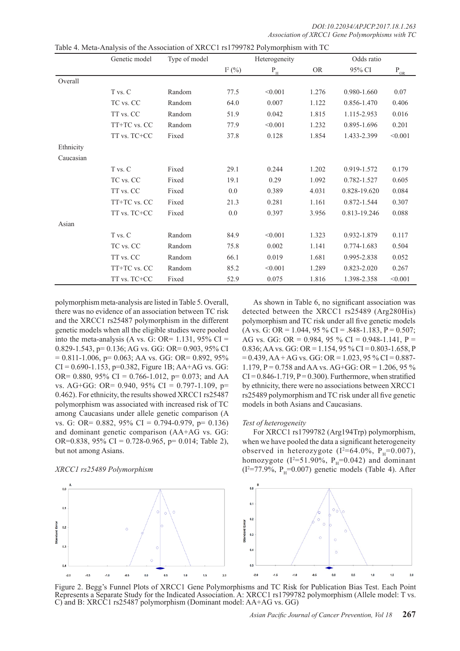*DOI:10.22034/APJCP.2017.18.1.263 Association of XRCC1 Gene Polymorphisms with TC* 

|           | Genetic model | Type of model |           | Heterogeneity           |           | Odds ratio   |                      |
|-----------|---------------|---------------|-----------|-------------------------|-----------|--------------|----------------------|
|           |               |               | $I^2$ (%) | $\mathbf{P}_\mathrm{H}$ | <b>OR</b> | 95% CI       | $P_{\underline{OR}}$ |
| Overall   |               |               |           |                         |           |              |                      |
|           | T vs. C       | Random        | 77.5      | < 0.001                 | 1.276     | 0.980-1.660  | 0.07                 |
|           | TC vs. CC     | Random        | 64.0      | 0.007                   | 1.122     | 0.856-1.470  | 0.406                |
|           | TT vs. CC     | Random        | 51.9      | 0.042                   | 1.815     | 1.115-2.953  | 0.016                |
|           | TT+TC vs. CC  | Random        | 77.9      | < 0.001                 | 1.232     | 0.895-1.696  | 0.201                |
|           | TT vs. TC+CC  | Fixed         | 37.8      | 0.128                   | 1.854     | 1.433-2.399  | < 0.001              |
| Ethnicity |               |               |           |                         |           |              |                      |
| Caucasian |               |               |           |                         |           |              |                      |
|           | T vs. C       | Fixed         | 29.1      | 0.244                   | 1.202     | 0.919-1.572  | 0.179                |
|           | TC vs. CC     | Fixed         | 19.1      | 0.29                    | 1.092     | 0.782-1.527  | 0.605                |
|           | TT vs. CC     | Fixed         | 0.0       | 0.389                   | 4.031     | 0.828-19.620 | 0.084                |
|           | TT+TC vs. CC  | Fixed         | 21.3      | 0.281                   | 1.161     | 0.872-1.544  | 0.307                |
|           | TT vs. TC+CC  | Fixed         | 0.0       | 0.397                   | 3.956     | 0.813-19.246 | 0.088                |
| Asian     |               |               |           |                         |           |              |                      |
|           | T vs. C       | Random        | 84.9      | < 0.001                 | 1.323     | 0.932-1.879  | 0.117                |
|           | TC vs. CC     | Random        | 75.8      | 0.002                   | 1.141     | 0.774-1.683  | 0.504                |
|           | TT vs. CC     | Random        | 66.1      | 0.019                   | 1.681     | 0.995-2.838  | 0.052                |
|           | TT+TC vs. CC  | Random        | 85.2      | < 0.001                 | 1.289     | 0.823-2.020  | 0.267                |
|           | TT vs. TC+CC  | Fixed         | 52.9      | 0.075                   | 1.816     | 1.398-2.358  | < 0.001              |

Table 4. Meta-Analysis of the Association of XRCC1 rs1799782 Polymorphism with TC

polymorphism meta-analysis are listed in Table 5. Overall, there was no evidence of an association between TC risk and the XRCC1 rs25487 polymorphism in the different genetic models when all the eligible studies were pooled into the meta-analysis (A vs. G: OR=  $1.131$ , 95% CI = 0.829-1.543, p= 0.136; AG vs. GG: OR= 0.903, 95% CI  $= 0.811 - 1.006$ ,  $p = 0.063$ ; AA vs. GG: OR= 0.892, 95%  $CI = 0.690 - 1.153$ , p=0.382, Figure 1B; AA+AG vs. GG: OR= 0.880, 95% CI = 0.766-1.012, p= 0.073; and AA vs. AG+GG: OR= 0.940, 95% CI = 0.797-1.109, p= 0.462). For ethnicity, the results showed XRCC1 rs25487 polymorphism was associated with increased risk of TC among Caucasians under allele genetic comparison (A vs. G: OR= 0.882, 95% CI = 0.794-0.979, p= 0.136) and dominant genetic comparison (AA+AG vs. GG: OR=0.838,  $95\%$  CI = 0.728-0.965, p= 0.014; Table 2), but not among Asians.

## *XRCC1 rs25489 Polymorphism*

As shown in Table 6, no significant association was detected between the XRCC1 rs25489 (Arg280His) polymorphism and TC risk under all five genetic models  $(A \text{ vs. } G: \text{ OR } = 1.044, 95 \% \text{ CI} = .848 - 1.183, P = 0.507;$ AG vs. GG: OR =  $0.984$ , 95 % CI =  $0.948-1.141$ , P = 0.836; AA vs. GG: OR = 1.154, 95 % CI = 0.803-1.658, P  $= 0.439$ , AA + AG vs. GG: OR = 1.023, 95 % CI = 0.887-1.179, P = 0.758 and AA vs. AG+GG: OR = 1.206, 95 %  $CI = 0.846 - 1.719$ ,  $P = 0.300$ ). Furthermore, when stratified by ethnicity, there were no associations between XRCC1 rs25489 polymorphism and TC risk under all five genetic models in both Asians and Caucasians.

#### *Test of heterogeneity*

For XRCC1 rs1799782 (Arg194Trp) polymorphism, when we have pooled the data a significant heterogeneity observed in heterozygote ( $I^2 = 64.0\%$ ,  $P_H = 0.007$ ), homozygote ( $I^2$ =51.90%,  $P_H$ =0.042) and dominant  $(I^2=77.9\%, P_{H} = 0.007)$  genetic models (Table 4). After



Figure 2. Begg's Funnel Plots of XRCC1 Gene Polymorphisms and TC Risk for Publication Bias Test. Each Point Represents a Separate Study for the Indicated Association. A: XRCC1 rs1799782 polymorphism (Allele model: T vs. C) and B: XRCC1 rs25487 polymorphism (Dominant model: AA+AG vs. GG)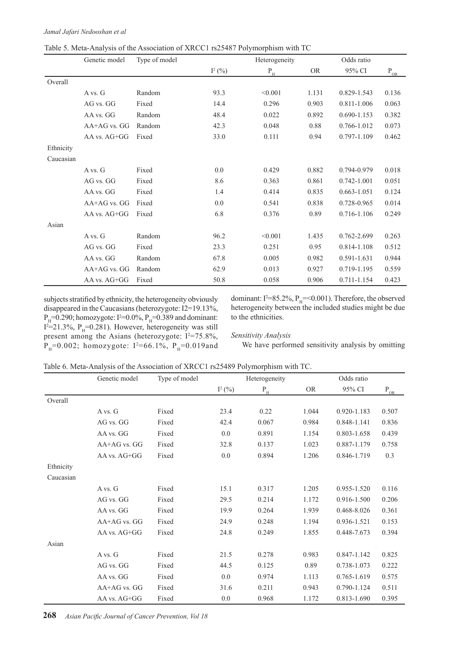|           | Genetic model    | Type of model |           | Heterogeneity           |           | Odds ratio      |                                      |
|-----------|------------------|---------------|-----------|-------------------------|-----------|-----------------|--------------------------------------|
|           |                  |               | $I^2$ (%) | $\mathbf{P}_\mathrm{H}$ | <b>OR</b> | 95% CI          | $\mathbf{P}_{\underline{\text{OR}}}$ |
| Overall   |                  |               |           |                         |           |                 |                                      |
|           | A vs. G          | Random        | 93.3      | < 0.001                 | 1.131     | 0.829-1.543     | 0.136                                |
|           | AG vs. GG        | Fixed         | 14.4      | 0.296                   | 0.903     | 0.811-1.006     | 0.063                                |
|           | AA vs. GG        | Random        | 48.4      | 0.022                   | 0.892     | 0.690-1.153     | 0.382                                |
|           | AA+AG vs. GG     | Random        | 42.3      | 0.048                   | 0.88      | 0.766-1.012     | 0.073                                |
|           | AA vs. AG+GG     | Fixed         | 33.0      | 0.111                   | 0.94      | 0.797-1.109     | 0.462                                |
| Ethnicity |                  |               |           |                         |           |                 |                                      |
| Caucasian |                  |               |           |                         |           |                 |                                      |
|           | A vs. G          | Fixed         | 0.0       | 0.429                   | 0.882     | 0.794-0.979     | 0.018                                |
|           | AG vs. GG        | Fixed         | 8.6       | 0.363                   | 0.861     | $0.742 - 1.001$ | 0.051                                |
|           | AA vs. GG        | Fixed         | 1.4       | 0.414                   | 0.835     | $0.663 - 1.051$ | 0.124                                |
|           | AA+AG vs. GG     | Fixed         | 0.0       | 0.541                   | 0.838     | 0.728-0.965     | 0.014                                |
|           | $AA$ vs. $AG+GG$ | Fixed         | 6.8       | 0.376                   | 0.89      | 0.716-1.106     | 0.249                                |
| Asian     |                  |               |           |                         |           |                 |                                      |
|           | A vs. G          | Random        | 96.2      | < 0.001                 | 1.435     | 0.762-2.699     | 0.263                                |
|           | AG vs. GG        | Fixed         | 23.3      | 0.251                   | 0.95      | 0.814-1.108     | 0.512                                |
|           | AA vs. GG        | Random        | 67.8      | 0.005                   | 0.982     | 0.591-1.631     | 0.944                                |
|           | AA+AG vs. GG     | Random        | 62.9      | 0.013                   | 0.927     | 0.719-1.195     | 0.559                                |
|           | AA vs. AG+GG     | Fixed         | 50.8      | 0.058                   | 0.906     | 0.711-1.154     | 0.423                                |

|  | Table 5. Meta-Analysis of the Association of XRCC1 rs25487 Polymorphism with TC |  |  |
|--|---------------------------------------------------------------------------------|--|--|
|  |                                                                                 |  |  |

subjects stratified by ethnicity, the heterogeneity obviously disappeared in the Caucasians (heterozygote: I2=19.13%,  $P_{\text{H}}$ =0.290; homozygote: I<sup>2</sup>=0.0%,  $P_{\text{H}}$ =0.389 and dominant:  $I^2=21.3\%$ ,  $P_H=0.281$ ). However, heterogeneity was still present among the Asians (heterozygote:  $I^2 = 75.8\%$ ,  $P_{H} = 0.002$ ; homozygote: I<sup>2</sup>=66.1%,  $P_{H} = 0.019$  and

dominant:  $I^2 = 85.2\%$ ,  $P_H = 0.001$ ). Therefore, the observed heterogeneity between the included studies might be due to the ethnicities.

## *Sensitivity Analysis*

We have performed sensitivity analysis by omitting

|           | Genetic model    | Type of model |          | Heterogeneity             |           | Odds ratio  |          |
|-----------|------------------|---------------|----------|---------------------------|-----------|-------------|----------|
|           |                  |               | $I^2(%)$ | $\mathbf{P}_{\mathrm{H}}$ | <b>OR</b> | 95% CI      | $P_{OR}$ |
| Overall   |                  |               |          |                           |           |             |          |
|           | A vs. G          | Fixed         | 23.4     | 0.22                      | 1.044     | 0.920-1.183 | 0.507    |
|           | AG vs. GG        | Fixed         | 42.4     | 0.067                     | 0.984     | 0.848-1.141 | 0.836    |
|           | AA vs. GG        | Fixed         | 0.0      | 0.891                     | 1.154     | 0.803-1.658 | 0.439    |
|           | $AA+AG$ vs. $GG$ | Fixed         | 32.8     | 0.137                     | 1.023     | 0.887-1.179 | 0.758    |
|           | AA vs. AG+GG     | Fixed         | 0.0      | 0.894                     | 1.206     | 0.846-1.719 | 0.3      |
| Ethnicity |                  |               |          |                           |           |             |          |
| Caucasian |                  |               |          |                           |           |             |          |
|           | A vs. G          | Fixed         | 15.1     | 0.317                     | 1.205     | 0.955-1.520 | 0.116    |
|           | AG vs. GG        | Fixed         | 29.5     | 0.214                     | 1.172     | 0.916-1.500 | 0.206    |
|           | AA vs. GG        | Fixed         | 19.9     | 0.264                     | 1.939     | 0.468-8.026 | 0.361    |
|           | AA+AG vs. GG     | Fixed         | 24.9     | 0.248                     | 1.194     | 0.936-1.521 | 0.153    |
|           | AA vs. AG+GG     | Fixed         | 24.8     | 0.249                     | 1.855     | 0.448-7.673 | 0.394    |
| Asian     |                  |               |          |                           |           |             |          |
|           | A vs. G          | Fixed         | 21.5     | 0.278                     | 0.983     | 0.847-1.142 | 0.825    |
|           | AG vs. GG        | Fixed         | 44.5     | 0.125                     | 0.89      | 0.738-1.073 | 0.222    |
|           | AA vs. GG        | Fixed         | 0.0      | 0.974                     | 1.113     | 0.765-1.619 | 0.575    |
|           | AA+AG vs. GG     | Fixed         | 31.6     | 0.211                     | 0.943     | 0.790-1.124 | 0.511    |
|           | AA vs. AG+GG     | Fixed         | 0.0      | 0.968                     | 1.172     | 0.813-1.690 | 0.395    |

**268** *Asian Pacific Journal of Cancer Prevention, Vol 18*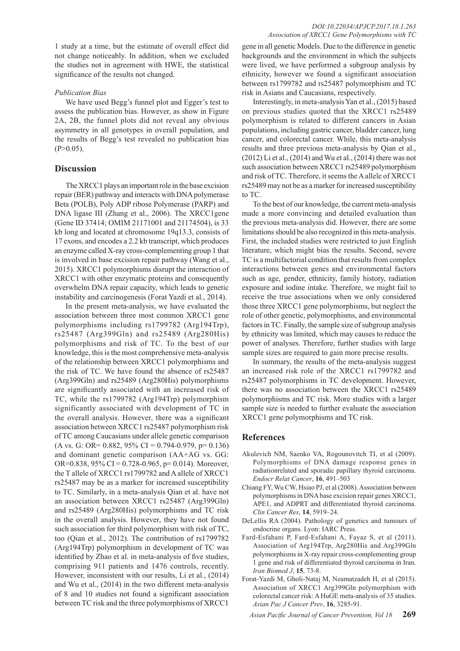1 study at a time, but the estimate of overall effect did not change noticeably. In addition, when we excluded the studies not in agreement with HWE, the statistical significance of the results not changed.

## *Publication Bias*

We have used Begg's funnel plot and Egger's test to assess the publication bias. However, as show in Figure 2A, 2B, the funnel plots did not reveal any obvious asymmetry in all genotypes in overall population, and the results of Begg's test revealed no publication bias  $(P>0.05)$ .

## **Discussion**

The XRCC1 plays an important role in the base excision repair (BER) pathway and interacts with DNA polymerase Beta (POLB), Poly ADP ribose Polymerase (PARP) and DNA ligase III (Zhang et al., 2006). The XRCC1gene (Gene ID 37414; OMIM 21171001 and 21174504), is 33 kb long and located at chromosome 19q13.3, consists of 17 exons, and encodes a 2.2 kb transcript, which produces an enzyme called X-ray cross-complementing group 1 that is involved in base excision repair pathway (Wang et al., 2015). XRCC1 polymorphisms disrupt the interaction of XRCC1 with other enzymatic proteins and consequently overwhelm DNA repair capacity, which leads to genetic instability and carcinogenesis (Forat Yazdi et al., 2014).

In the present meta-analysis, we have evaluated the association between three most common XRCC1 gene polymorphisms including rs1799782 (Arg194Trp), rs25487 (Arg399Gln) and rs25489 (Arg280His) polymorphisms and risk of TC. To the best of our knowledge, this is the most comprehensive meta-analysis of the relationship between XRCC1 polymorphisms and the risk of TC. We have found the absence of rs25487 (Arg399Gln) and rs25489 (Arg280His) polymorphisms are significantly associated with an increased risk of TC, while the rs1799782 (Arg194Trp) polymorphism significantly associated with development of TC in the overall analysis. However, there was a significant association between XRCC1 rs25487 polymorphism risk of TC among Caucasians under allele genetic comparison  $(A \text{ vs. G: OR} = 0.882, 95\% \text{ CI} = 0.794 - 0.979, \text{ p} = 0.136)$ and dominant genetic comparison (AA+AG vs. GG: OR=0.838,  $95\%$  CI = 0.728-0.965, p= 0.014). Moreover, the T allele of XRCC1 rs1799782 and A allele of XRCC1 rs25487 may be as a marker for increased susceptibility to TC. Similarly, in a meta-analysis Qian et al. have not an association between XRCC1 rs25487 (Arg399Gln) and rs25489 (Arg280His) polymorphisms and TC risk in the overall analysis. However, they have not found such association for third polymorphism with risk of TC, too (Qian et al., 2012). The contribution of rs1799782 (Arg194Trp) polymorphism in development of TC was identified by Zhao et al. in meta-analysis of five studies, comprising 911 patients and 1476 controls, recently. However, inconsistent with our results, Li et al., (2014) and Wu et al., (2014) in the two different meta-analysis of 8 and 10 studies not found a significant association between TC risk and the three polymorphisms of XRCC1

gene in all genetic Models. Due to the difference in genetic backgrounds and the environment in which the subjects were lived, we have performed a subgroup analysis by ethnicity, however we found a significant association between rs1799782 and rs25487 polymorphism and TC risk in Asians and Caucasians, respectively.

Interestingly, in meta-analysis Yan et al., (2015) based on previous studies quoted that the XRCC1 rs25489 polymorphism is related to different cancers in Asian populations, including gastric cancer, bladder cancer, lung cancer, and colorectal cancer. While, this meta-analysis results and three previous meta-analysis by Qian et al., (2012) Li et al., (2014) and Wu et al., (2014) there was not such association between XRCC1 rs25489 polymorphism and risk of TC. Therefore, it seems the A allele of XRCC1 rs25489 may not be as a marker for increased susceptibility to TC.

To the best of our knowledge, the current meta-analysis made a more convincing and detailed evaluation than the previous meta-analysis did. However, there are some limitations should be also recognized in this meta-analysis. First, the included studies were restricted to just English literature, which might bias the results. Second, severe TC is a multifactorial condition that results from complex interactions between genes and environmental factors such as age, gender, ethnicity, family history, radiation exposure and iodine intake. Therefore, we might fail to receive the true associations when we only considered those three XRCC1 gene polymorphisms, but neglect the role of other genetic, polymorphisms, and environmental factors in TC. Finally, the sample size of subgroup analysis by ethnicity was limited, which may causes to reduce the power of analyses. Therefore, further studies with large sample sizes are required to gain more precise results.

In summary, the results of the meta-analysis suggest an increased risk role of the XRCC1 rs1799782 and rs25487 polymorphisms in TC development. However, there was no association between the XRCC1 rs25489 polymorphisms and TC risk. More studies with a larger sample size is needed to further evaluate the association XRCC1 gene polymorphisms and TC risk.

# **References**

- Akulevich NM, Saenko VA, Rogounovitch TI, et al (2009). Polymorphisms of DNA damage response genes in radiationrelated and sporadic papillary thyroid carcinoma. *Endocr Relat Cancer*, **16**, 491–503
- Chiang FY, Wu CW, Hsiao PJ, et al (2008). Association between polymorphisms in DNA base excision repair genes XRCC1, APE1, and ADPRT and differentiated thyroid carcinoma. *Clin Cancer Res*, **14**, 5919–24.
- DeLellis RA (2004). Pathology of genetics and tumours of endocrine organs. Lyon: IARC Press.
- Fard-Esfahani P, Fard-Esfahani A, Fayaz S, et al (2011). Association of Arg194Trp, Arg280His and Arg399Gln polymorphisms in X-ray repair cross-complementing group 1 gene and risk of differentiated thyroid carcinoma in Iran. *Iran Biomed J*, **15**, 73-8.
- Forat-Yazdi M, Gholi-Nataj M, Neamatzadeh H, et al (2015). Association of XRCC1 Arg399Gln polymorphism with colorectal cancer risk: A HuGE meta-analysis of 35 studies. *Asian Pac J Cancer Prev*, **16**, 3285-91.